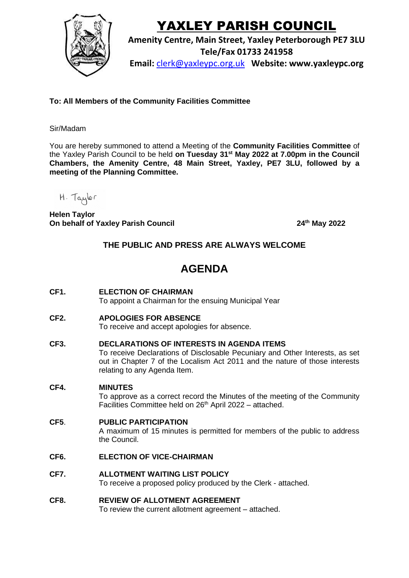

# YAXLEY PARISH COUNCIL

**Amenity Centre, Main Street, Yaxley Peterborough PE7 3LU Tele/Fax 01733 241958**

**Email:** [clerk@yaxleypc.org.uk](mailto:clerk@yaxleypc.org.uk) **Website: www.yaxleypc.org**

**To: All Members of the Community Facilities Committee**

## Sir/Madam

You are hereby summoned to attend a Meeting of the **Community Facilities Committee** of the Yaxley Parish Council to be held **on Tuesday 31st May 2022 at 7.00pm in the Council Chambers, the Amenity Centre, 48 Main Street, Yaxley, PE7 3LU, followed by a meeting of the Planning Committee.** 

H. Taylor

 **Helen Taylor On behalf of Yaxley Parish Council 24th May 2022**

## **THE PUBLIC AND PRESS ARE ALWAYS WELCOME**

## **AGENDA**

**CF1. ELECTION OF CHAIRMAN** 

To appoint a Chairman for the ensuing Municipal Year

**CF2. APOLOGIES FOR ABSENCE**

To receive and accept apologies for absence.

#### **CF3. DECLARATIONS OF INTERESTS IN AGENDA ITEMS**

To receive Declarations of Disclosable Pecuniary and Other Interests, as set out in Chapter 7 of the Localism Act 2011 and the nature of those interests relating to any Agenda Item.

## **CF4. MINUTES**

To approve as a correct record the Minutes of the meeting of the Community Facilities Committee held on 26<sup>th</sup> April 2022 - attached.

#### **CF5**. **PUBLIC PARTICIPATION**

A maximum of 15 minutes is permitted for members of the public to address the Council.

## **CF6. ELECTION OF VICE-CHAIRMAN**

**CF7. ALLOTMENT WAITING LIST POLICY** To receive a proposed policy produced by the Clerk - attached.

#### **CF8. REVIEW OF ALLOTMENT AGREEMENT** To review the current allotment agreement – attached.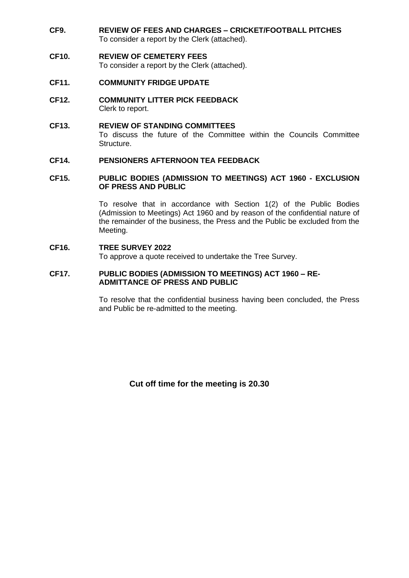**CF9. REVIEW OF FEES AND CHARGES – CRICKET/FOOTBALL PITCHES** To consider a report by the Clerk (attached).

#### **CF10. REVIEW OF CEMETERY FEES**

To consider a report by the Clerk (attached).

- **CF11. COMMUNITY FRIDGE UPDATE**
- **CF12. COMMUNITY LITTER PICK FEEDBACK** Clerk to report.
- **CF13. REVIEW OF STANDING COMMITTEES** To discuss the future of the Committee within the Councils Committee Structure.

#### **CF14. PENSIONERS AFTERNOON TEA FEEDBACK**

#### **CF15. PUBLIC BODIES (ADMISSION TO MEETINGS) ACT 1960 - EXCLUSION OF PRESS AND PUBLIC**

To resolve that in accordance with Section 1(2) of the Public Bodies (Admission to Meetings) Act 1960 and by reason of the confidential nature of the remainder of the business, the Press and the Public be excluded from the Meeting.

#### **CF16. TREE SURVEY 2022**

To approve a quote received to undertake the Tree Survey.

#### **CF17. PUBLIC BODIES (ADMISSION TO MEETINGS) ACT 1960 – RE-ADMITTANCE OF PRESS AND PUBLIC**

To resolve that the confidential business having been concluded, the Press and Public be re-admitted to the meeting.

**Cut off time for the meeting is 20.30**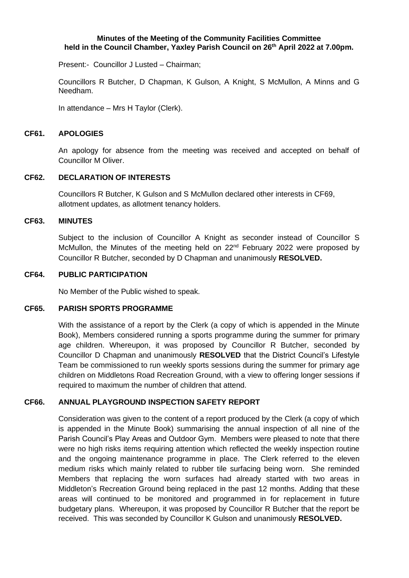#### **Minutes of the Meeting of the Community Facilities Committee held in the Council Chamber, Yaxley Parish Council on 26 th April 2022 at 7.00pm.**

Present:- Councillor J Lusted – Chairman;

Councillors R Butcher, D Chapman, K Gulson, A Knight, S McMullon, A Minns and G Needham.

In attendance – Mrs H Taylor (Clerk).

#### **CF61. APOLOGIES**

An apology for absence from the meeting was received and accepted on behalf of Councillor M Oliver.

#### **CF62. DECLARATION OF INTERESTS**

Councillors R Butcher, K Gulson and S McMullon declared other interests in CF69, allotment updates, as allotment tenancy holders.

#### **CF63. MINUTES**

Subject to the inclusion of Councillor A Knight as seconder instead of Councillor S McMullon, the Minutes of the meeting held on 22<sup>nd</sup> February 2022 were proposed by Councillor R Butcher, seconded by D Chapman and unanimously **RESOLVED.**

#### **CF64. PUBLIC PARTICIPATION**

No Member of the Public wished to speak.

#### **CF65. PARISH SPORTS PROGRAMME**

With the assistance of a report by the Clerk (a copy of which is appended in the Minute Book), Members considered running a sports programme during the summer for primary age children. Whereupon, it was proposed by Councillor R Butcher, seconded by Councillor D Chapman and unanimously **RESOLVED** that the District Council's Lifestyle Team be commissioned to run weekly sports sessions during the summer for primary age children on Middletons Road Recreation Ground, with a view to offering longer sessions if required to maximum the number of children that attend.

## **CF66. ANNUAL PLAYGROUND INSPECTION SAFETY REPORT**

Consideration was given to the content of a report produced by the Clerk (a copy of which is appended in the Minute Book) summarising the annual inspection of all nine of the Parish Council's Play Areas and Outdoor Gym. Members were pleased to note that there were no high risks items requiring attention which reflected the weekly inspection routine and the ongoing maintenance programme in place. The Clerk referred to the eleven medium risks which mainly related to rubber tile surfacing being worn. She reminded Members that replacing the worn surfaces had already started with two areas in Middleton's Recreation Ground being replaced in the past 12 months. Adding that these areas will continued to be monitored and programmed in for replacement in future budgetary plans. Whereupon, it was proposed by Councillor R Butcher that the report be received. This was seconded by Councillor K Gulson and unanimously **RESOLVED.**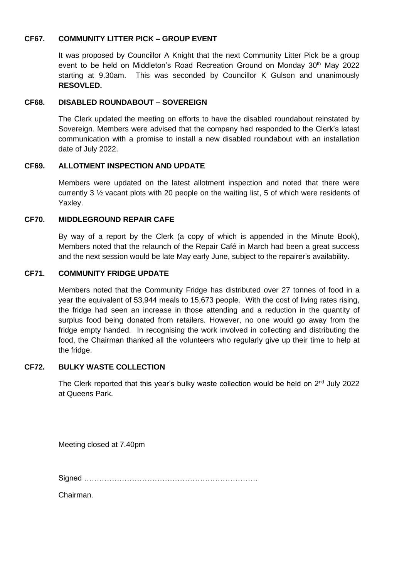## **CF67. COMMUNITY LITTER PICK – GROUP EVENT**

It was proposed by Councillor A Knight that the next Community Litter Pick be a group event to be held on Middleton's Road Recreation Ground on Monday 30<sup>th</sup> May 2022 starting at 9.30am. This was seconded by Councillor K Gulson and unanimously **RESOVLED.**

#### **CF68. DISABLED ROUNDABOUT – SOVEREIGN**

The Clerk updated the meeting on efforts to have the disabled roundabout reinstated by Sovereign. Members were advised that the company had responded to the Clerk's latest communication with a promise to install a new disabled roundabout with an installation date of July 2022.

#### **CF69. ALLOTMENT INSPECTION AND UPDATE**

Members were updated on the latest allotment inspection and noted that there were currently 3  $\frac{1}{2}$  vacant plots with 20 people on the waiting list, 5 of which were residents of Yaxley.

#### **CF70. MIDDLEGROUND REPAIR CAFE**

By way of a report by the Clerk (a copy of which is appended in the Minute Book), Members noted that the relaunch of the Repair Café in March had been a great success and the next session would be late May early June, subject to the repairer's availability.

#### **CF71. COMMUNITY FRIDGE UPDATE**

Members noted that the Community Fridge has distributed over 27 tonnes of food in a year the equivalent of 53,944 meals to 15,673 people. With the cost of living rates rising, the fridge had seen an increase in those attending and a reduction in the quantity of surplus food being donated from retailers. However, no one would go away from the fridge empty handed. In recognising the work involved in collecting and distributing the food, the Chairman thanked all the volunteers who regularly give up their time to help at the fridge.

#### **CF72. BULKY WASTE COLLECTION**

The Clerk reported that this year's bulky waste collection would be held on 2<sup>nd</sup> July 2022 at Queens Park.

Meeting closed at 7.40pm

Signed ……………………………………………………………

Chairman.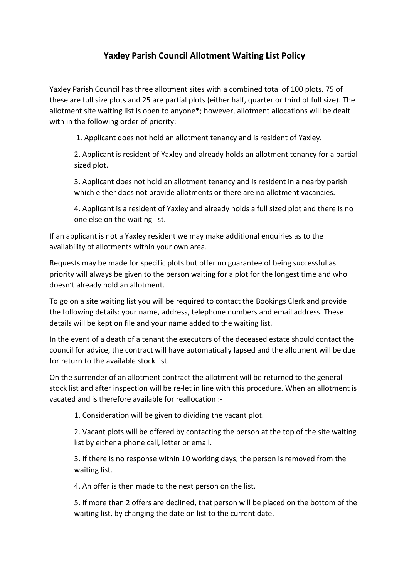## **Yaxley Parish Council Allotment Waiting List Policy**

Yaxley Parish Council has three allotment sites with a combined total of 100 plots. 75 of these are full size plots and 25 are partial plots (either half, quarter or third of full size). The allotment site waiting list is open to anyone\*; however, allotment allocations will be dealt with in the following order of priority:

1. Applicant does not hold an allotment tenancy and is resident of Yaxley.

2. Applicant is resident of Yaxley and already holds an allotment tenancy for a partial sized plot.

3. Applicant does not hold an allotment tenancy and is resident in a nearby parish which either does not provide allotments or there are no allotment vacancies.

4. Applicant is a resident of Yaxley and already holds a full sized plot and there is no one else on the waiting list.

If an applicant is not a Yaxley resident we may make additional enquiries as to the availability of allotments within your own area.

Requests may be made for specific plots but offer no guarantee of being successful as priority will always be given to the person waiting for a plot for the longest time and who doesn't already hold an allotment.

To go on a site waiting list you will be required to contact the Bookings Clerk and provide the following details: your name, address, telephone numbers and email address. These details will be kept on file and your name added to the waiting list.

In the event of a death of a tenant the executors of the deceased estate should contact the council for advice, the contract will have automatically lapsed and the allotment will be due for return to the available stock list.

On the surrender of an allotment contract the allotment will be returned to the general stock list and after inspection will be re-let in line with this procedure. When an allotment is vacated and is therefore available for reallocation :-

1. Consideration will be given to dividing the vacant plot.

2. Vacant plots will be offered by contacting the person at the top of the site waiting list by either a phone call, letter or email.

3. If there is no response within 10 working days, the person is removed from the waiting list.

4. An offer is then made to the next person on the list.

5. If more than 2 offers are declined, that person will be placed on the bottom of the waiting list, by changing the date on list to the current date.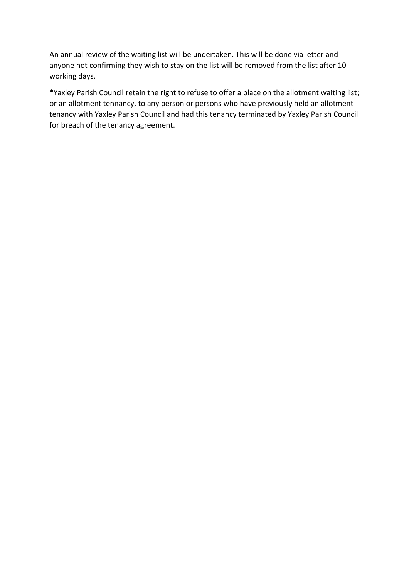An annual review of the waiting list will be undertaken. This will be done via letter and anyone not confirming they wish to stay on the list will be removed from the list after 10 working days.

\*Yaxley Parish Council retain the right to refuse to offer a place on the allotment waiting list; or an allotment tennancy, to any person or persons who have previously held an allotment tenancy with Yaxley Parish Council and had this tenancy terminated by Yaxley Parish Council for breach of the tenancy agreement.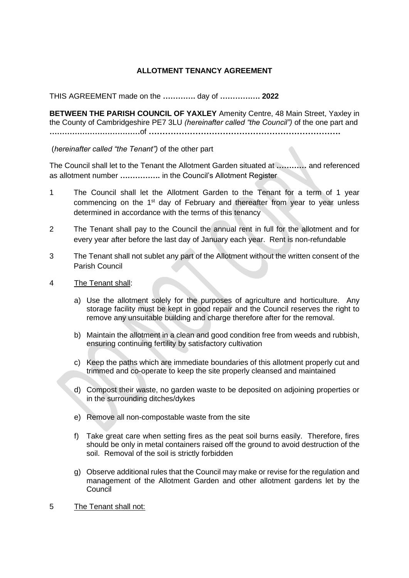## **ALLOTMENT TENANCY AGREEMENT**

THIS AGREEMENT made on the **………….** day of **……………. 2022**

**BETWEEN THE PARISH COUNCIL OF YAXLEY** Amenity Centre, 48 Main Street, Yaxley in the County of Cambridgeshire PE7 3LU *(hereinafter called "the Council")* of the one part and **………………………………**of **…………………………………………………………….**

(*hereinafter called "the Tenant")* of the other part

The Council shall let to the Tenant the Allotment Garden situated at **…………** and referenced as allotment number **…………….** in the Council's Allotment Register

- 1 The Council shall let the Allotment Garden to the Tenant for a term of 1 year commencing on the 1<sup>st</sup> day of February and thereafter from year to year unless determined in accordance with the terms of this tenancy
- 2 The Tenant shall pay to the Council the annual rent in full for the allotment and for every year after before the last day of January each year. Rent is non-refundable
- 3 The Tenant shall not sublet any part of the Allotment without the written consent of the Parish Council
- 4 The Tenant shall:
	- a) Use the allotment solely for the purposes of agriculture and horticulture. Any storage facility must be kept in good repair and the Council reserves the right to remove any unsuitable building and charge therefore after for the removal.
	- b) Maintain the allotment in a clean and good condition free from weeds and rubbish, ensuring continuing fertility by satisfactory cultivation
	- c) Keep the paths which are immediate boundaries of this allotment properly cut and trimmed and co-operate to keep the site properly cleansed and maintained
	- d) Compost their waste, no garden waste to be deposited on adjoining properties or in the surrounding ditches/dykes
	- e) Remove all non-compostable waste from the site
	- f) Take great care when setting fires as the peat soil burns easily. Therefore, fires should be only in metal containers raised off the ground to avoid destruction of the soil. Removal of the soil is strictly forbidden
	- g) Observe additional rules that the Council may make or revise for the regulation and management of the Allotment Garden and other allotment gardens let by the **Council**
- 5 The Tenant shall not: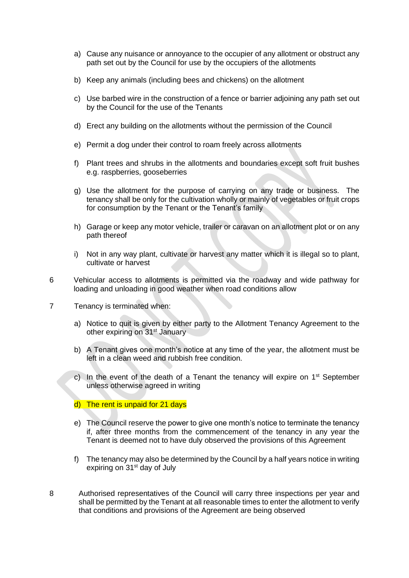- a) Cause any nuisance or annoyance to the occupier of any allotment or obstruct any path set out by the Council for use by the occupiers of the allotments
- b) Keep any animals (including bees and chickens) on the allotment
- c) Use barbed wire in the construction of a fence or barrier adjoining any path set out by the Council for the use of the Tenants
- d) Erect any building on the allotments without the permission of the Council
- e) Permit a dog under their control to roam freely across allotments
- f) Plant trees and shrubs in the allotments and boundaries except soft fruit bushes e.g. raspberries, gooseberries
- g) Use the allotment for the purpose of carrying on any trade or business. The tenancy shall be only for the cultivation wholly or mainly of vegetables or fruit crops for consumption by the Tenant or the Tenant's family
- h) Garage or keep any motor vehicle, trailer or caravan on an allotment plot or on any path thereof
- i) Not in any way plant, cultivate or harvest any matter which it is illegal so to plant, cultivate or harvest
- 6 Vehicular access to allotments is permitted via the roadway and wide pathway for loading and unloading in good weather when road conditions allow
- 7 Tenancy is terminated when:
	- a) Notice to quit is given by either party to the Allotment Tenancy Agreement to the other expiring on 31<sup>st</sup> January
	- b) A Tenant gives one month's notice at any time of the year, the allotment must be left in a clean weed and rubbish free condition.
	- c) In the event of the death of a Tenant the tenancy will expire on  $1<sup>st</sup>$  September unless otherwise agreed in writing
	- d) The rent is unpaid for 21 days
	- e) The Council reserve the power to give one month's notice to terminate the tenancy if, after three months from the commencement of the tenancy in any year the Tenant is deemed not to have duly observed the provisions of this Agreement
	- f) The tenancy may also be determined by the Council by a half years notice in writing expiring on 31<sup>st</sup> day of July
- 8 Authorised representatives of the Council will carry three inspections per year and shall be permitted by the Tenant at all reasonable times to enter the allotment to verify that conditions and provisions of the Agreement are being observed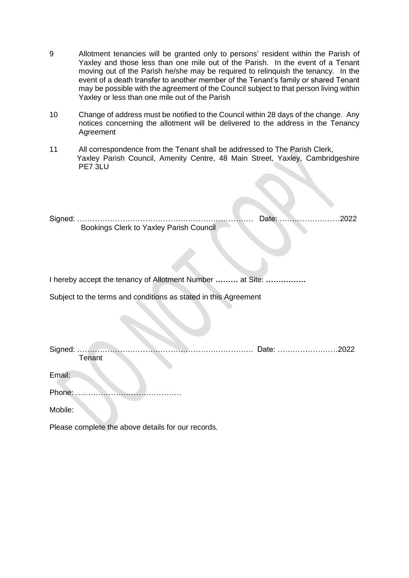- 9 Allotment tenancies will be granted only to persons' resident within the Parish of Yaxley and those less than one mile out of the Parish. In the event of a Tenant moving out of the Parish he/she may be required to relinquish the tenancy. In the event of a death transfer to another member of the Tenant's family or shared Tenant may be possible with the agreement of the Council subject to that person living within Yaxley or less than one mile out of the Parish
- 10 Change of address must be notified to the Council within 28 days of the change. Any notices concerning the allotment will be delivered to the address in the Tenancy Agreement
- 11 All correspondence from the Tenant shall be addressed to The Parish Clerk, Yaxley Parish Council, Amenity Centre, 48 Main Street, Yaxley, Cambridgeshire PE7 3LU

Signed: ……………………………………………………………. Date: ……………………2022 Bookings Clerk to Yaxley Parish Council

I hereby accept the tenancy of Allotment Number **………** at Site: **…………….**

Subject to the terms and conditions as stated in this Agreement

|        |        | Date: 2022 |  |
|--------|--------|------------|--|
|        | Tenant |            |  |
|        |        |            |  |
| Email: |        |            |  |
|        |        |            |  |
| Phone: |        |            |  |
|        |        |            |  |

Mobile:

Please complete the above details for our records.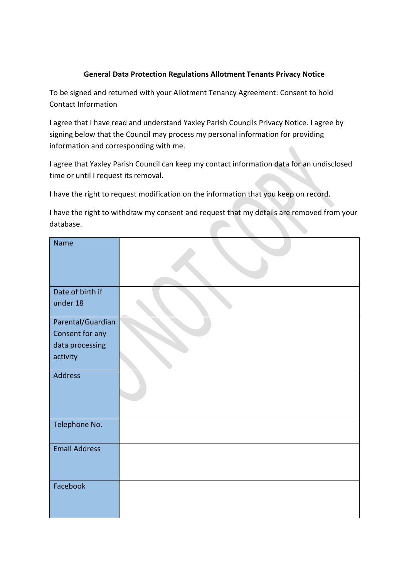## **General Data Protection Regulations Allotment Tenants Privacy Notice**

To be signed and returned with your Allotment Tenancy Agreement: Consent to hold Contact Information

I agree that I have read and understand Yaxley Parish Councils Privacy Notice. I agree by signing below that the Council may process my personal information for providing information and corresponding with me.

I agree that Yaxley Parish Council can keep my contact information data for an undisclosed time or until I request its removal.

I have the right to request modification on the information that you keep on record.

I have the right to withdraw my consent and request that my details are removed from your database.

| Name                 |  |
|----------------------|--|
|                      |  |
|                      |  |
|                      |  |
| Date of birth if     |  |
| under 18             |  |
| Parental/Guardian    |  |
| Consent for any      |  |
| data processing      |  |
| activity             |  |
|                      |  |
| Address              |  |
|                      |  |
|                      |  |
|                      |  |
| Telephone No.        |  |
|                      |  |
| <b>Email Address</b> |  |
|                      |  |
|                      |  |
| Facebook             |  |
|                      |  |
|                      |  |
|                      |  |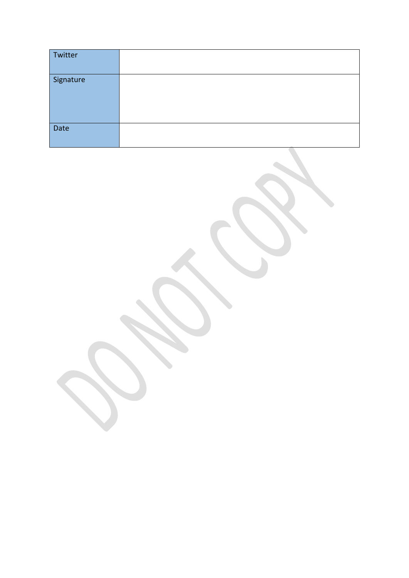| Twitter   |  |
|-----------|--|
| Signature |  |
| Date      |  |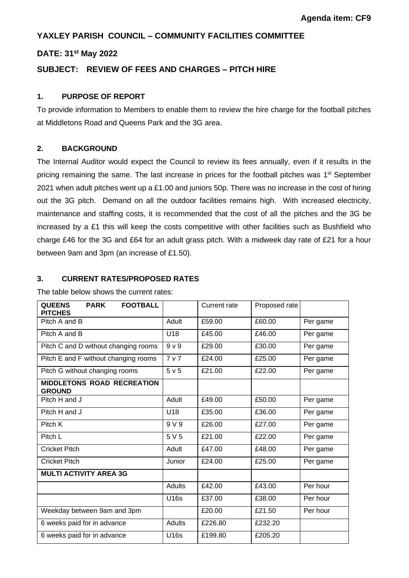## **YAXLEY PARISH COUNCIL – COMMUNITY FACILITIES COMMITTEE**

## **DATE: 31st May 2022**

## **SUBJECT: REVIEW OF FEES AND CHARGES – PITCH HIRE**

#### **1. PURPOSE OF REPORT**

To provide information to Members to enable them to review the hire charge for the football pitches at Middletons Road and Queens Park and the 3G area.

#### **2. BACKGROUND**

The Internal Auditor would expect the Council to review its fees annually, even if it results in the pricing remaining the same. The last increase in prices for the football pitches was 1<sup>st</sup> September 2021 when adult pitches went up a £1.00 and juniors 50p. There was no increase in the cost of hiring out the 3G pitch. Demand on all the outdoor facilities remains high. With increased electricity, maintenance and staffing costs, it is recommended that the cost of all the pitches and the 3G be increased by a £1 this will keep the costs competitive with other facilities such as Bushfield who charge £46 for the 3G and £64 for an adult grass pitch. With a midweek day rate of £21 for a hour between 9am and 3pm (an increase of £1.50).

#### **3. CURRENT RATES/PROPOSED RATES**

The table below shows the current rates:

| <b>QUEENS</b><br><b>FOOTBALL</b><br><b>PARK</b><br><b>PITCHES</b> |                | Current rate | Proposed rate |          |
|-------------------------------------------------------------------|----------------|--------------|---------------|----------|
| Pitch A and B                                                     | Adult          | £59.00       | £60.00        | Per game |
| Pitch A and B                                                     | U18            | £45.00       | £46.00        | Per game |
| Pitch C and D without changing rooms                              | 9 <sub>V</sub> | £29.00       | £30.00        | Per game |
| Pitch E and F without changing rooms                              | 7 <sub>v</sub> | £24.00       | £25.00        | Per game |
| Pitch G without changing rooms                                    | 5 v 5          | £21.00       | £22.00        | Per game |
| <b>MIDDLETONS ROAD RECREATION</b><br><b>GROUND</b>                |                |              |               |          |
| Pitch H and J                                                     | Adult          | £49.00       | £50.00        | Per game |
| Pitch H and J                                                     | U18            | £35.00       | £36.00        | Per game |
| Pitch K                                                           | 9 V 9          | £26.00       | £27.00        | Per game |
| Pitch L                                                           | 5 V 5          | £21.00       | £22.00        | Per game |
| <b>Cricket Pitch</b>                                              | Adult          | £47.00       | £48.00        | Per game |
| <b>Cricket Pitch</b>                                              | Junior         | £24.00       | £25.00        | Per game |
| <b>MULTI ACTIVITY AREA 3G</b>                                     |                |              |               |          |
|                                                                   | Adults         | £42.00       | £43.00        | Per hour |
|                                                                   | U16s           | £37.00       | £38.00        | Per hour |
| Weekday between 9am and 3pm                                       |                | £20.00       | £21.50        | Per hour |
| 6 weeks paid for in advance                                       | Adults         | £226.80      | £232.20       |          |
| 6 weeks paid for in advance                                       | <b>U16s</b>    | £199.80      | £205.20       |          |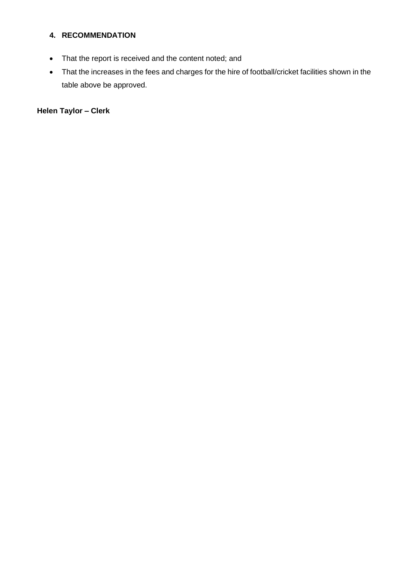## **4. RECOMMENDATION**

- That the report is received and the content noted; and
- That the increases in the fees and charges for the hire of football/cricket facilities shown in the table above be approved.

**Helen Taylor – Clerk**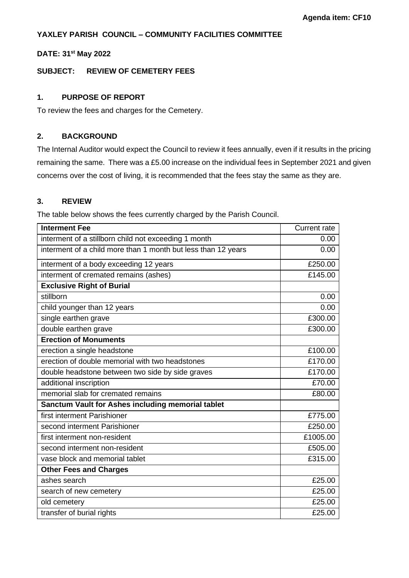## **YAXLEY PARISH COUNCIL – COMMUNITY FACILITIES COMMITTEE**

#### **DATE: 31st May 2022**

#### **SUBJECT: REVIEW OF CEMETERY FEES**

#### **1. PURPOSE OF REPORT**

To review the fees and charges for the Cemetery.

#### **2. BACKGROUND**

The Internal Auditor would expect the Council to review it fees annually, even if it results in the pricing remaining the same. There was a £5.00 increase on the individual fees in September 2021 and given concerns over the cost of living, it is recommended that the fees stay the same as they are.

#### **3. REVIEW**

The table below shows the fees currently charged by the Parish Council.

| <b>Interment Fee</b>                                          | <b>Current rate</b> |
|---------------------------------------------------------------|---------------------|
| interment of a stillborn child not exceeding 1 month          | 0.00                |
| interment of a child more than 1 month but less than 12 years | 0.00                |
| interment of a body exceeding 12 years                        | £250.00             |
| interment of cremated remains (ashes)                         | £145.00             |
| <b>Exclusive Right of Burial</b>                              |                     |
| stillborn                                                     | 0.00                |
| child younger than 12 years                                   | 0.00                |
| single earthen grave                                          | £300.00             |
| double earthen grave                                          | £300.00             |
| <b>Erection of Monuments</b>                                  |                     |
| erection a single headstone                                   | £100.00             |
| erection of double memorial with two headstones               | £170.00             |
| double headstone between two side by side graves              | £170.00             |
| additional inscription                                        | £70.00              |
| memorial slab for cremated remains                            | £80.00              |
| Sanctum Vault for Ashes including memorial tablet             |                     |
| first interment Parishioner                                   | £775.00             |
| second interment Parishioner                                  | £250.00             |
| first interment non-resident                                  | £1005.00            |
| second interment non-resident                                 | £505.00             |
| vase block and memorial tablet                                | £315.00             |
| <b>Other Fees and Charges</b>                                 |                     |
| ashes search                                                  | £25.00              |
| search of new cemetery                                        | £25.00              |
| old cemetery                                                  | £25.00              |
| transfer of burial rights                                     | £25.00              |